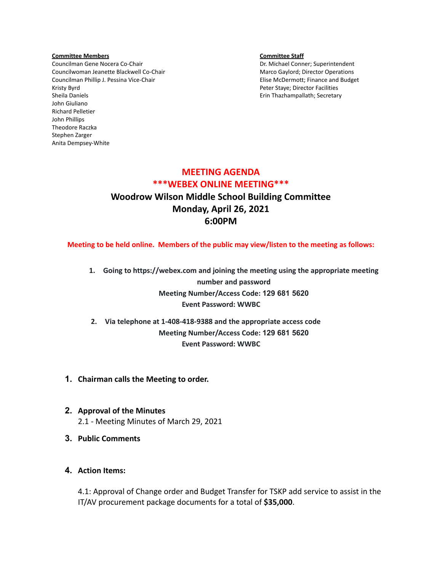### **Committee Members Committee Staff**

Councilman Gene Nocera Co-Chair **Dr. Michael Conner**; Superintendent Councilwoman Jeanette Blackwell Co-Chair Marco Gaylord; Director Operations Councilman Phillip J. Pessina Vice-Chair **Elise McDermott**; Finance and Budget Kristy Byrd Peter Staye; Director Facilities Sheila Daniels **Erin Thazhampallath; Secretary** Erin Thazhampallath; Secretary John Giuliano Richard Pelletier John Phillips Theodore Raczka Stephen Zarger Anita Dempsey-White

# **MEETING AGENDA \*\*\*WEBEX ONLINE MEETING\*\*\* Woodrow Wilson Middle School Building Committee Monday, April 26, 2021 6:00PM**

**Meeting to be held online. Members of the public may view/listen to the meeting as follows:**

- **1. Going to https://webex.com and joining the meeting using the appropriate meeting number and password Meeting Number/Access Code: 129 681 5620 Event Password: WWBC**
- **2. Via telephone at 1-408-418-9388 and the appropriate access code Meeting Number/Access Code: 129 681 5620 Event Password: WWBC**
- **1. Chairman calls the Meeting to order.**
- **2. Approval of the Minutes** 2.1 - Meeting Minutes of March 29, 2021
- **3. Public Comments**
- **4. Action Items:**

4.1: Approval of Change order and Budget Transfer for TSKP add service to assist in the IT/AV procurement package documents for a total of **\$35,000**.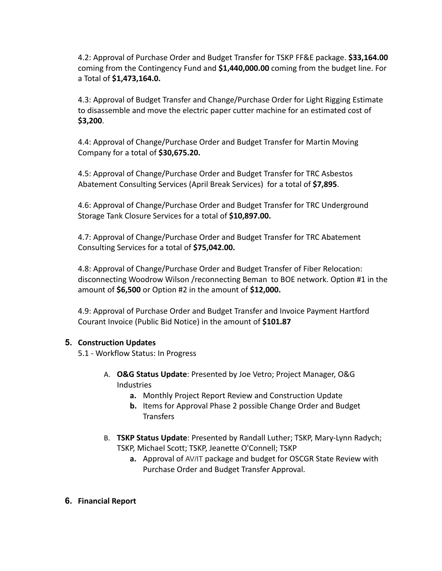4.2: Approval of Purchase Order and Budget Transfer for TSKP FF&E package. **\$33,164.00** coming from the Contingency Fund and **\$1,440,000.00** coming from the budget line. For a Total of **\$1,473,164.0.**

4.3: Approval of Budget Transfer and Change/Purchase Order for Light Rigging Estimate to disassemble and move the electric paper cutter machine for an estimated cost of **\$3,200**.

4.4: Approval of Change/Purchase Order and Budget Transfer for Martin Moving Company for a total of **\$30,675.20.**

4.5: Approval of Change/Purchase Order and Budget Transfer for TRC Asbestos Abatement Consulting Services (April Break Services) for a total of **\$7,895**.

4.6: Approval of Change/Purchase Order and Budget Transfer for TRC Underground Storage Tank Closure Services for a total of **\$10,897.00.**

4.7: Approval of Change/Purchase Order and Budget Transfer for TRC Abatement Consulting Services for a total of **\$75,042.00.**

4.8: Approval of Change/Purchase Order and Budget Transfer of Fiber Relocation: disconnecting Woodrow Wilson /reconnecting Beman to BOE network. Option #1 in the amount of **\$6,500** or Option #2 in the amount of **\$12,000.**

4.9: Approval of Purchase Order and Budget Transfer and Invoice Payment Hartford Courant Invoice (Public Bid Notice) in the amount of **\$101.87**

# **5. Construction Updates**

5.1 - Workflow Status: In Progress

- A. **O&G Status Update**: Presented by Joe Vetro; Project Manager, O&G Industries
	- **a.** Monthly Project Report Review and Construction Update
	- **b.** Items for Approval Phase 2 possible Change Order and Budget **Transfers**
- B. **TSKP Status Update**: Presented by Randall Luther; TSKP, Mary-Lynn Radych; TSKP, Michael Scott; TSKP, Jeanette O'Connell; TSKP
	- **a.** Approval of AV/IT package and budget for OSCGR State Review with Purchase Order and Budget Transfer Approval.
- **6. Financial Report**